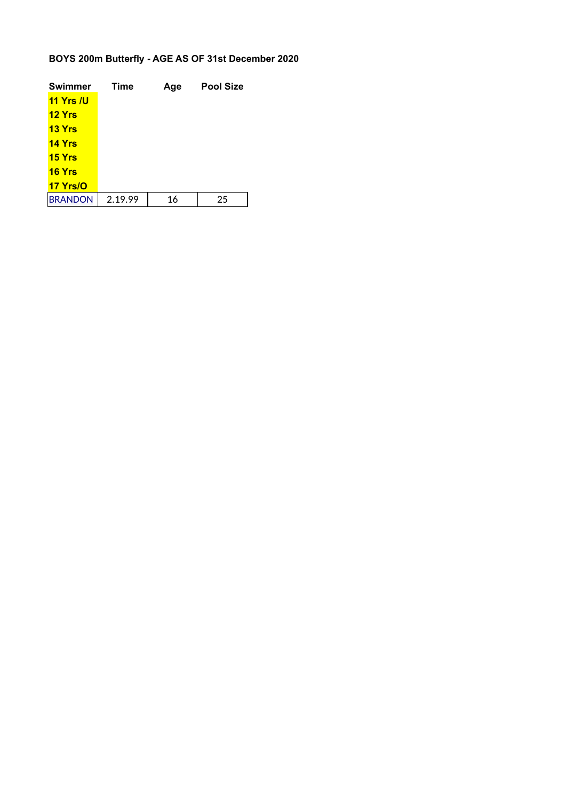### **BOYS 200m Butterfly - AGE AS OF 31st December 2020**

| <b>Swimmer</b>   | <b>Time</b> | Age | <b>Pool Size</b> |
|------------------|-------------|-----|------------------|
| <b>11 Yrs /U</b> |             |     |                  |
| <b>12 Yrs</b>    |             |     |                  |
| 13 Yrs           |             |     |                  |
| <b>14 Yrs</b>    |             |     |                  |
| 15 <b>Yrs</b>    |             |     |                  |
| <b>16 Yrs</b>    |             |     |                  |
| 17 Yrs/O         |             |     |                  |
| <b>BRANDON</b>   | 2.19.99     | 16  | 25               |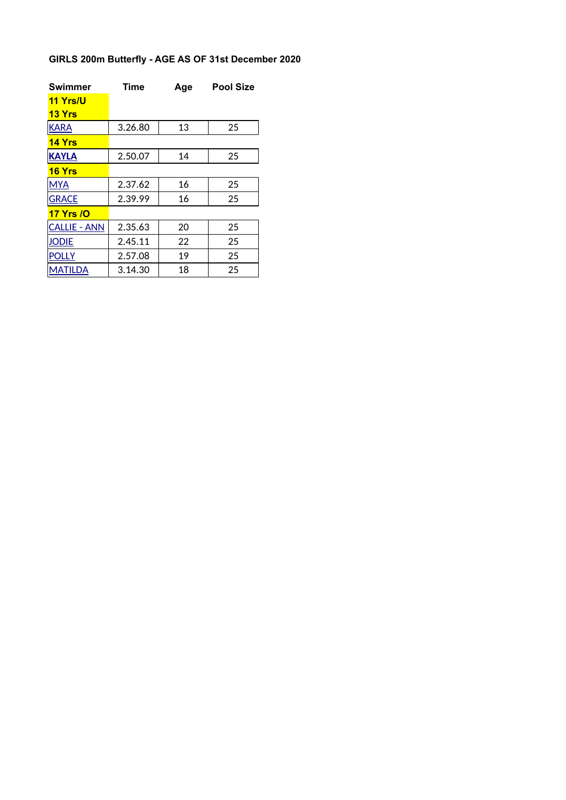# **GIRLS 200m Butterfly - AGE AS OF 31st December 2020**

| <b>Swimmer</b>      | <b>Time</b> | Age | <b>Pool Size</b> |
|---------------------|-------------|-----|------------------|
| 11 Yrs/U            |             |     |                  |
| <b>13 Yrs</b>       |             |     |                  |
| <b>KARA</b>         | 3.26.80     | 13  | 25               |
| 14 Yrs              |             |     |                  |
| <b>KAYLA</b>        | 2.50.07     | 14  | 25               |
| <b>16 Yrs</b>       |             |     |                  |
| <b>MYA</b>          | 2.37.62     | 16  | 25               |
| <b>GRACE</b>        | 2.39.99     | 16  | 25               |
| <b>17 Yrs /O</b>    |             |     |                  |
| <b>CALLIE - ANN</b> | 2.35.63     | 20  | 25               |
| Jodie               | 2.45.11     | 22  | 25               |
| <b>POLLY</b>        | 2.57.08     | 19  | 25               |
| <b>MATILDA</b>      | 3.14.30     | 18  | 25               |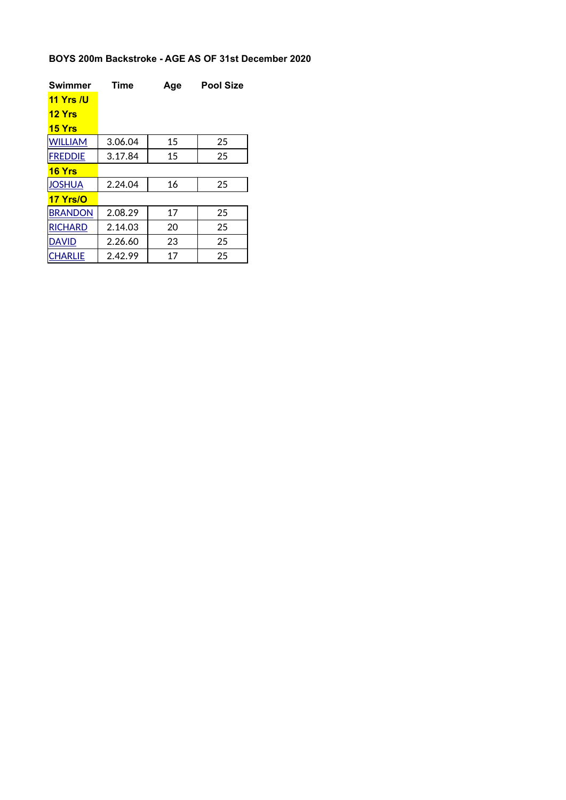### **BOYS 200m Backstroke - AGE AS OF 31st December 2020**

| <b>Swimmer</b>   | <b>Time</b> | Age | <b>Pool Size</b> |
|------------------|-------------|-----|------------------|
| <b>11 Yrs /U</b> |             |     |                  |
| <b>12 Yrs</b>    |             |     |                  |
| <b>15 Yrs</b>    |             |     |                  |
| <b>WILLIAM</b>   | 3.06.04     | 15  | 25               |
| <b>FREDDIE</b>   | 3.17.84     | 15  | 25               |
| 16Yrs            |             |     |                  |
| <b>JOSHUA</b>    | 2.24.04     | 16  | 25               |
| 17 Yrs/O         |             |     |                  |
| <b>BRANDON</b>   | 2.08.29     | 17  | 25               |
| <b>RICHARD</b>   | 2.14.03     | 20  | 25               |
| <b>DAVID</b>     | 2.26.60     | 23  | 25               |
| <b>CHARLIE</b>   | 2.42.99     | 17  | 25               |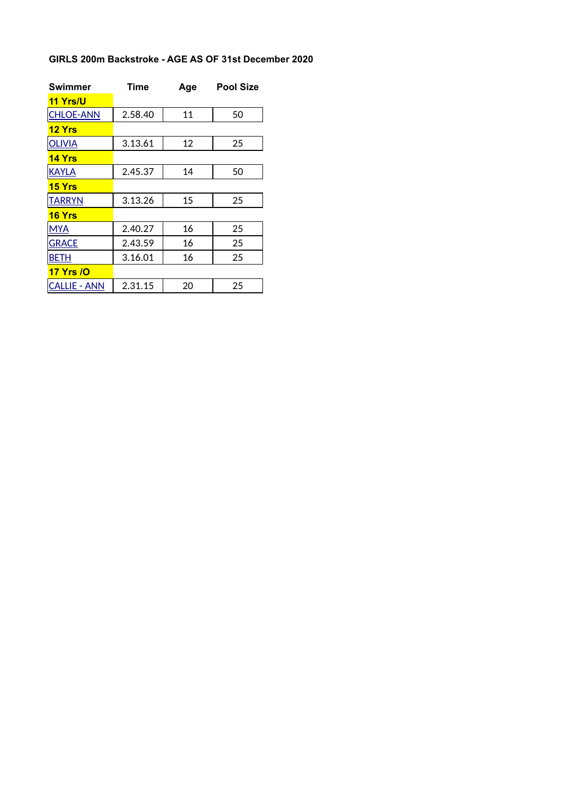#### **GIRLS 200m Backstroke - AGE AS OF 31st December 2020**

| <b>Swimmer</b>      | Time    | Age | <b>Pool Size</b> |
|---------------------|---------|-----|------------------|
| <b>11 Yrs/U</b>     |         |     |                  |
| <b>CHLOE-ANN</b>    | 2.58.40 | 11  | 50               |
| <b>12 Yrs</b>       |         |     |                  |
| <b>OLIVIA</b>       | 3.13.61 | 12  | 25               |
| <b>14 Yrs</b>       |         |     |                  |
| <b>KAYLA</b>        | 2.45.37 | 14  | 50               |
| <b>15 Yrs</b>       |         |     |                  |
| <b>TARRYN</b>       | 3.13.26 | 15  | 25               |
| <b>16 Yrs</b>       |         |     |                  |
| <b>MYA</b>          | 2.40.27 | 16  | 25               |
| <b>GRACE</b>        | 2.43.59 | 16  | 25               |
| <b>BETH</b>         | 3.16.01 | 16  | 25               |
| <b>17 Yrs / O</b>   |         |     |                  |
| <b>CALLIE - ANN</b> | 2.31.15 | 20  | 25               |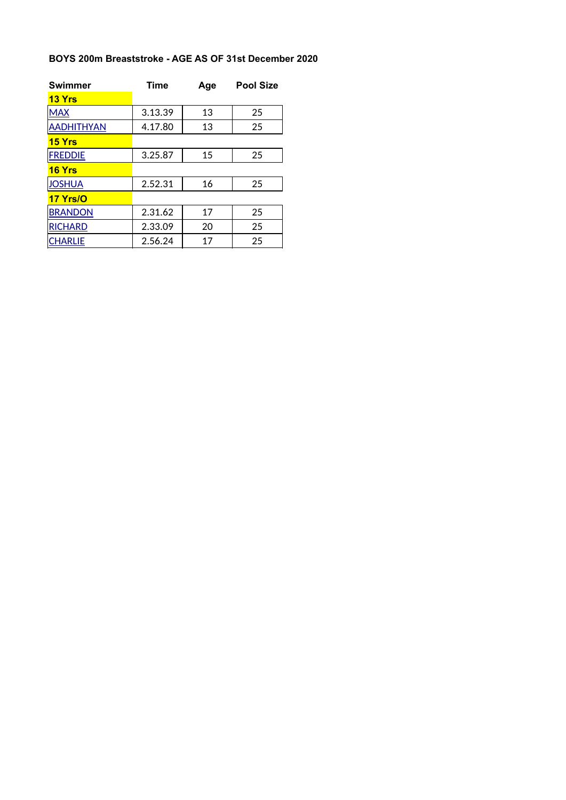### **BOYS 200m Breaststroke - AGE AS OF 31st December 2020**

| <b>Swimmer</b>    | <b>Time</b> | Age | <b>Pool Size</b> |
|-------------------|-------------|-----|------------------|
| <b>13 Yrs</b>     |             |     |                  |
| <b>MAX</b>        | 3.13.39     | 13  | 25               |
| <b>AADHITHYAN</b> | 4.17.80     | 13  | 25               |
| <b>15 Yrs</b>     |             |     |                  |
| <b>FREDDIE</b>    | 3.25.87     | 15  | 25               |
| <b>16 Yrs</b>     |             |     |                  |
| <b>JOSHUA</b>     | 2.52.31     | 16  | 25               |
| 17 Yrs/O          |             |     |                  |
| <b>BRANDON</b>    | 2.31.62     | 17  | 25               |
| <b>RICHARD</b>    | 2.33.09     | 20  | 25               |
| <b>CHARLIE</b>    | 2.56.24     | 17  | 25               |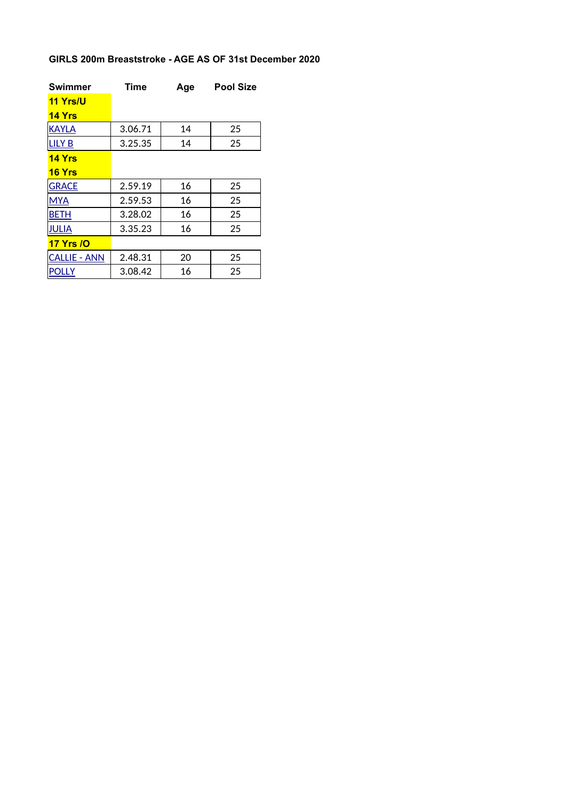# **GIRLS 200m Breaststroke - AGE AS OF 31st December 2020**

| <b>Swimmer</b>      | <b>Time</b> | Age | <b>Pool Size</b> |
|---------------------|-------------|-----|------------------|
| 11 Yrs/U            |             |     |                  |
| <b>14 Yrs</b>       |             |     |                  |
| <b>KAYLA</b>        | 3.06.71     | 14  | 25               |
| <b>LILY B</b>       | 3.25.35     | 14  | 25               |
| $14$ Yrs            |             |     |                  |
| <b>16 Yrs</b>       |             |     |                  |
| <b>GRACE</b>        | 2.59.19     | 16  | 25               |
| <b>MYA</b>          | 2.59.53     | 16  | 25               |
| <b>BETH</b>         | 3.28.02     | 16  | 25               |
| <b>JULIA</b>        | 3.35.23     | 16  | 25               |
| <b>17 Yrs /O</b>    |             |     |                  |
| <b>CALLIE - ANN</b> | 2.48.31     | 20  | 25               |
| <b>POLLY</b>        | 3.08.42     | 16  | 25               |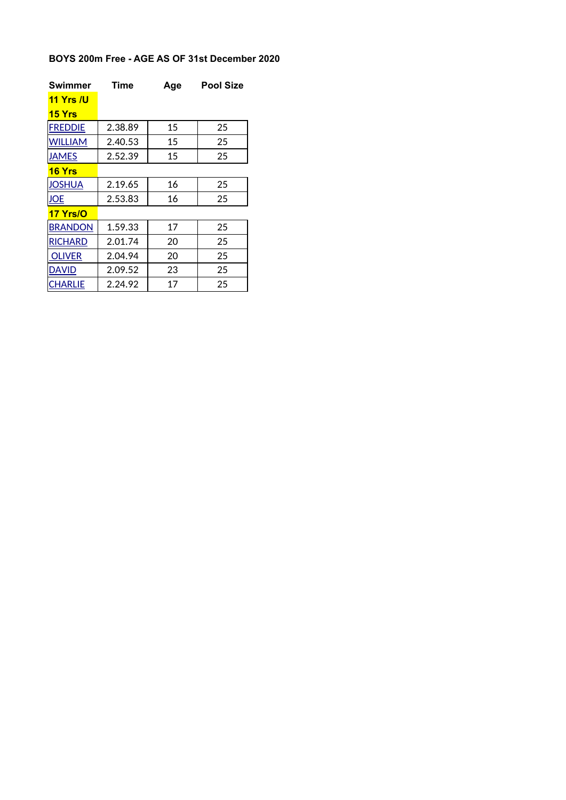### **BOYS 200m Free - AGE AS OF 31st December 2020**

| <b>Swimmer</b>   | Time    | Age | <b>Pool Size</b> |
|------------------|---------|-----|------------------|
| <u>11 Yrs /U</u> |         |     |                  |
| <b>15 Yrs</b>    |         |     |                  |
| <b>FREDDIE</b>   | 2.38.89 | 15  | 25               |
| <b>WILLIAM</b>   | 2.40.53 | 15  | 25               |
| <b>JAMES</b>     | 2.52.39 | 15  | 25               |
| <b>16 Yrs</b>    |         |     |                  |
| <b>JOSHUA</b>    | 2.19.65 | 16  | 25               |
| <b>JOE</b>       | 2.53.83 | 16  | 25               |
| <b>17 Yrs/O</b>  |         |     |                  |
| <b>BRANDON</b>   | 1.59.33 | 17  | 25               |
| <b>RICHARD</b>   | 2.01.74 | 20  | 25               |
| <b>OLIVER</b>    | 2.04.94 | 20  | 25               |
| David            | 2.09.52 | 23  | 25               |
| CHARLIE          | 2.24.92 | 17  | 25               |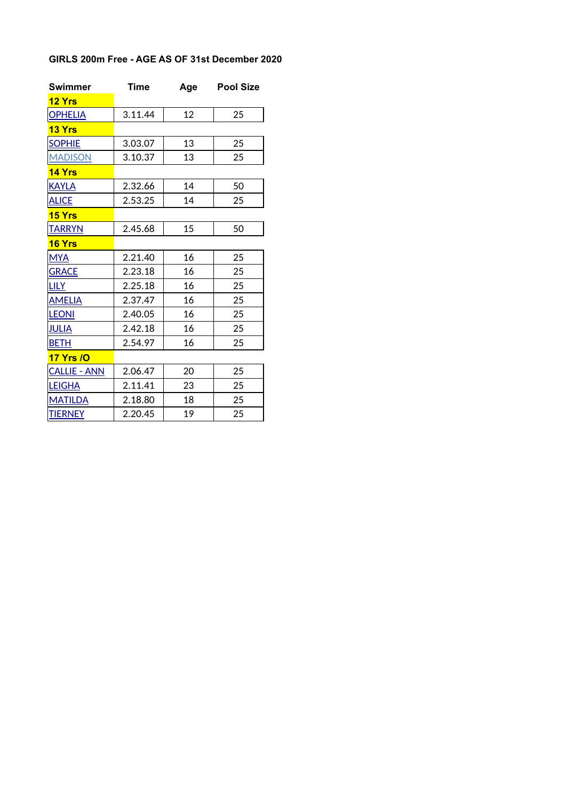## **GIRLS 200m Free - AGE AS OF 31st December 2020**

| <b>Swimmer</b>      | <b>Time</b> | Age | <b>Pool Size</b> |
|---------------------|-------------|-----|------------------|
| 12 Yrs              |             |     |                  |
| <b>OPHELIA</b>      | 3.11.44     | 12  | 25               |
| <b>13 Yrs</b>       |             |     |                  |
| <b>SOPHIE</b>       | 3.03.07     | 13  | 25               |
| <b>MADISON</b>      | 3.10.37     | 13  | 25               |
| <b>14 Yrs</b>       |             |     |                  |
| <b>KAYLA</b>        | 2.32.66     | 14  | 50               |
| <b>ALICE</b>        | 2.53.25     | 14  | 25               |
| <b>15 Yrs</b>       |             |     |                  |
| <b>TARRYN</b>       | 2.45.68     | 15  | 50               |
| <b>16 Yrs</b>       |             |     |                  |
| <b>MYA</b>          | 2.21.40     | 16  | 25               |
| <b>GRACE</b>        | 2.23.18     | 16  | 25               |
| <u>LILY</u>         | 2.25.18     | 16  | 25               |
| <b>AMELIA</b>       | 2.37.47     | 16  | 25               |
| <b>LEONI</b>        | 2.40.05     | 16  | 25               |
| <b>JULIA</b>        | 2.42.18     | 16  | 25               |
| <b>BETH</b>         | 2.54.97     | 16  | 25               |
| <b>17 Yrs /O</b>    |             |     |                  |
| <b>CALLIE - ANN</b> | 2.06.47     | 20  | 25               |
| <b>LEIGHA</b>       | 2.11.41     | 23  | 25               |
| <b>MATILDA</b>      | 2.18.80     | 18  | 25               |
| <b>TIERNEY</b>      | 2.20.45     | 19  | 25               |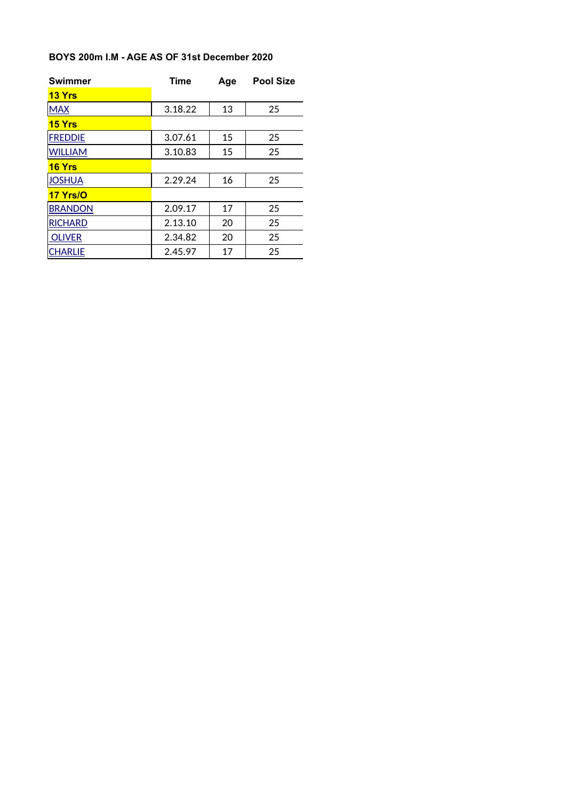#### **BOYS 200m I.M - AGE AS OF 31st December 2020**

| <b>Swimmer</b> | <b>Time</b><br>Age |    | <b>Pool Size</b> |
|----------------|--------------------|----|------------------|
| <b>13 Yrs</b>  |                    |    |                  |
| <b>MAX</b>     | 3.18.22            | 13 | 25               |
| <b>15 Yrs</b>  |                    |    |                  |
| <b>FREDDIE</b> | 3.07.61            | 15 | 25               |
| <b>WILLIAM</b> | 3.10.83            | 15 | 25               |
| <b>16 Yrs</b>  |                    |    |                  |
| <b>JOSHUA</b>  | 2.29.24            | 16 | 25               |
| 17 Yrs/O       |                    |    |                  |
| <b>BRANDON</b> | 2.09.17            | 17 | 25               |
| <b>RICHARD</b> | 2.13.10            | 20 | 25               |
| <b>OLIVER</b>  | 2.34.82            | 20 | 25               |
| <b>CHARLIE</b> | 2.45.97            | 17 | 25               |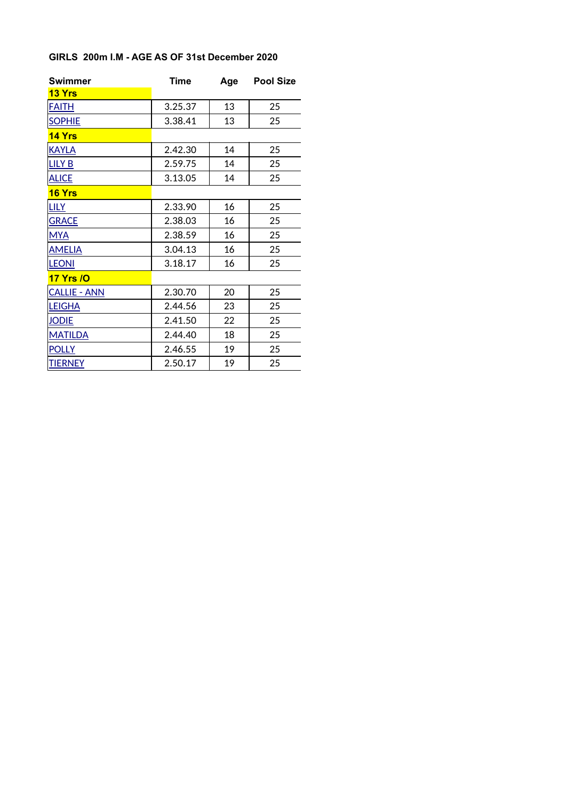#### **GIRLS 200m I.M - AGE AS OF 31st December 2020**

| <b>Swimmer</b>      | <b>Time</b> | Age | <b>Pool Size</b> |
|---------------------|-------------|-----|------------------|
| <b>13 Yrs</b>       |             |     |                  |
| <b>FAITH</b>        | 3.25.37     | 13  | 25               |
| <b>SOPHIE</b>       | 3.38.41     | 13  | 25               |
| 14 Yrs              |             |     |                  |
| <b>KAYLA</b>        | 2.42.30     | 14  | 25               |
| <b>LILY B</b>       | 2.59.75     | 14  | 25               |
| <b>ALICE</b>        | 3.13.05     | 14  | 25               |
| 16 Yrs              |             |     |                  |
| <b>LILY</b>         | 2.33.90     | 16  | 25               |
| <b>GRACE</b>        | 2.38.03     | 16  | 25               |
| <b>MYA</b>          | 2.38.59     | 16  | 25               |
| <b>AMELIA</b>       | 3.04.13     | 16  | 25               |
| <b>LEONI</b>        | 3.18.17     | 16  | 25               |
| <b>17 Yrs /O</b>    |             |     |                  |
| <b>CALLIE - ANN</b> | 2.30.70     | 20  | 25               |
| <b>LEIGHA</b>       | 2.44.56     | 23  | 25               |
| <b>JODIE</b>        | 2.41.50     | 22  | 25               |
| <b>MATILDA</b>      | 2.44.40     | 18  | 25               |
| <b>POLLY</b>        | 2.46.55     | 19  | 25               |
| <b>TIERNEY</b>      | 2.50.17     | 19  | 25               |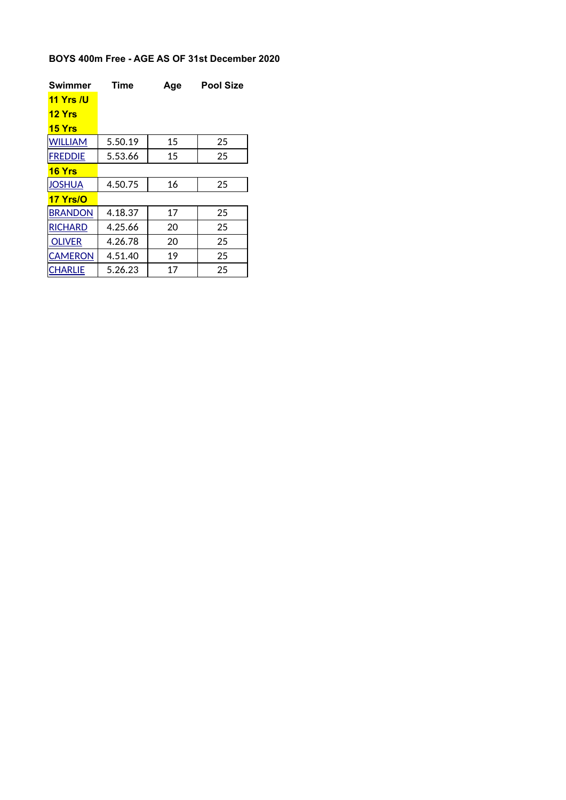### **BOYS 400m Free - AGE AS OF 31st December 2020**

| Swimmer          | Time    | Age | <b>Pool Size</b> |
|------------------|---------|-----|------------------|
| <b>11 Yrs /U</b> |         |     |                  |
| <b>12 Yrs</b>    |         |     |                  |
| <b>15 Yrs</b>    |         |     |                  |
| <b>WILLIAM</b>   | 5.50.19 | 15  | 25               |
| <b>FREDDIE</b>   | 5.53.66 | 15  | 25               |
| <b>16 Yrs</b>    |         |     |                  |
| <b>JOSHUA</b>    | 4.50.75 | 16  | 25               |
| <b>17 Yrs/O</b>  |         |     |                  |
| <b>BRANDON</b>   | 4.18.37 | 17  | 25               |
| <b>RICHARD</b>   | 4.25.66 | 20  | 25               |
| <b>OLIVER</b>    | 4.26.78 | 20  | 25               |
| <b>CAMERON</b>   | 4.51.40 | 19  | 25               |
| <b>CHARLIE</b>   | 5.26.23 | 17  | 25               |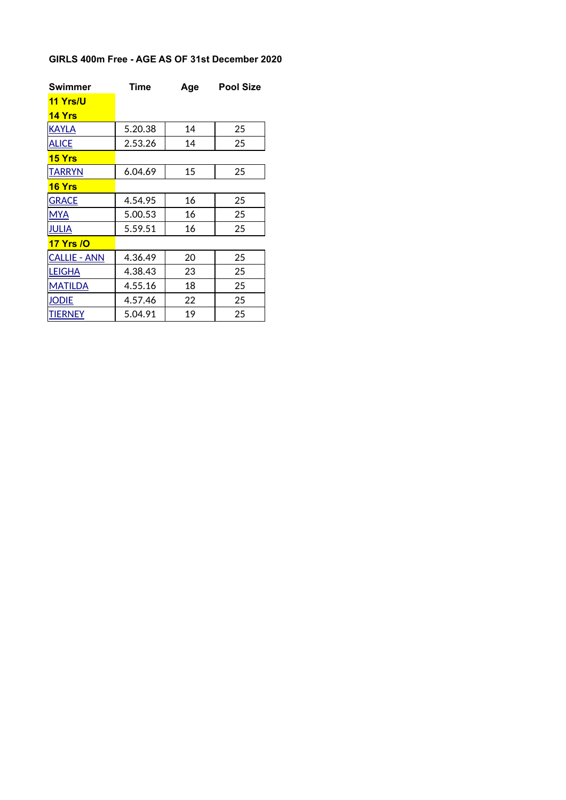## **GIRLS 400m Free - AGE AS OF 31st December 2020**

| Swimmer             | <b>Time</b> | Age | Pool Size |
|---------------------|-------------|-----|-----------|
| <b>11 Yrs/U</b>     |             |     |           |
| <b>14 Yrs</b>       |             |     |           |
| <b>KAYLA</b>        | 5.20.38     | 14  | 25        |
| <b>ALICE</b>        | 2.53.26     | 14  | 25        |
| <b>15 Yrs</b>       |             |     |           |
| <b>TARRYN</b>       | 6.04.69     | 15  | 25        |
| <b>16 Yrs</b>       |             |     |           |
| <b>GRACE</b>        | 4.54.95     | 16  | 25        |
| <b>MYA</b>          | 5.00.53     | 16  | 25        |
| <b>JULIA</b>        | 5.59.51     | 16  | 25        |
| <b>17 Yrs /0</b>    |             |     |           |
| <b>CALLIE - ANN</b> | 4.36.49     | 20  | 25        |
| <b>LEIGHA</b>       | 4.38.43     | 23  | 25        |
| <b>MATILDA</b>      | 4.55.16     | 18  | 25        |
| <b>JODIE</b>        | 4.57.46     | 22  | 25        |
| <b>TIERNEY</b>      | 5.04.91     | 19  | 25        |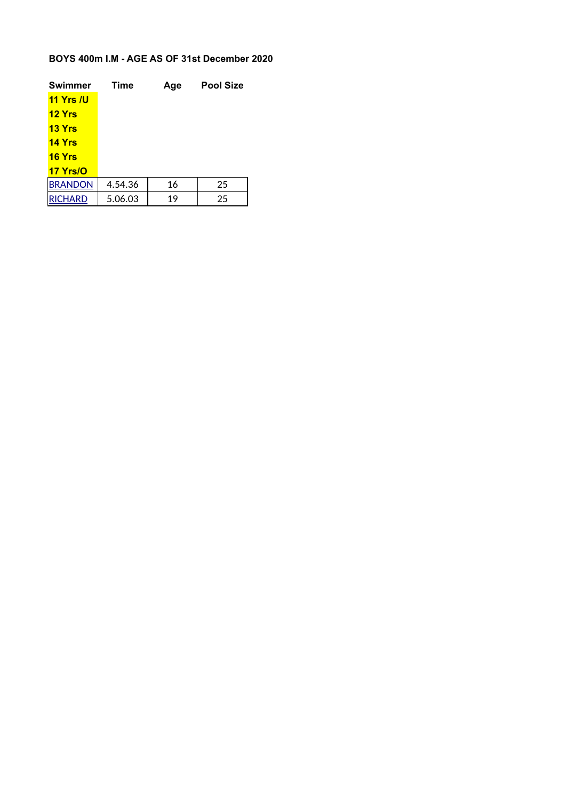### **BOYS 400m I.M - AGE AS OF 31st December 2020**

| <b>Swimmer</b>   | <b>Time</b> | Age | <b>Pool Size</b> |
|------------------|-------------|-----|------------------|
| <b>11 Yrs /U</b> |             |     |                  |
| <b>12 Yrs</b>    |             |     |                  |
| 13 Yrs           |             |     |                  |
| <b>14 Yrs</b>    |             |     |                  |
| <b>16 Yrs</b>    |             |     |                  |
| 17 Yrs/O         |             |     |                  |
| <b>BRANDON</b>   | 4.54.36     | 16  | 25               |
| <b>IRICHARD</b>  | 5.06.03     | 19  | 25               |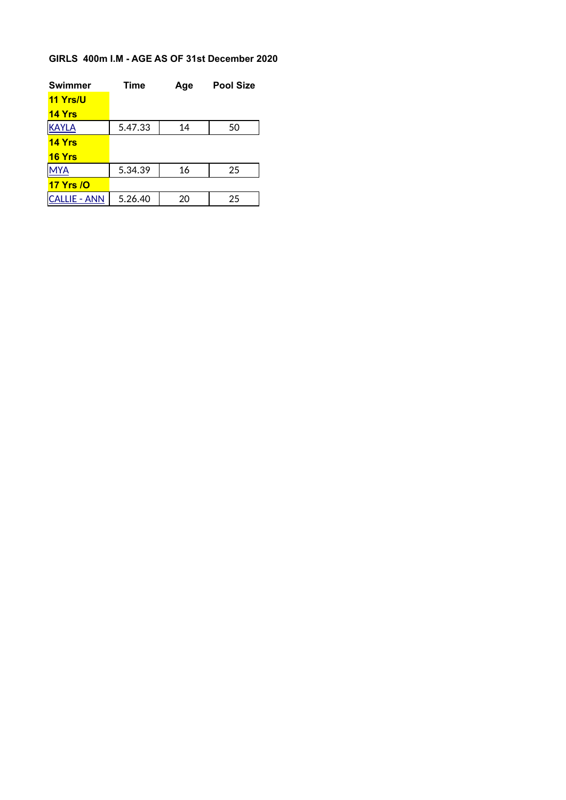### **GIRLS 400m I.M - AGE AS OF 31st December 2020**

| <b>Swimmer</b>    | <b>Time</b> | Age | <b>Pool Size</b> |
|-------------------|-------------|-----|------------------|
| 11 Yrs/U          |             |     |                  |
| <b>14 Yrs</b>     |             |     |                  |
| <b>KAYLA</b>      | 5.47.33     | 14  | 50               |
| <b>14 Yrs</b>     |             |     |                  |
| <b>16 Yrs</b>     |             |     |                  |
| <b>MYA</b>        | 5.34.39     | 16  | 25               |
| <b>17 Yrs / O</b> |             |     |                  |
| CALLIE - ANN      | 5.26.40     | 20  | 25               |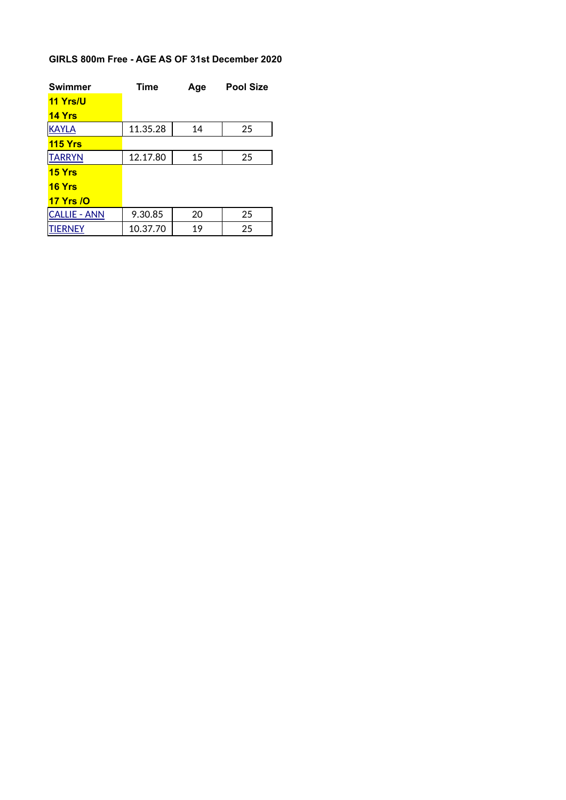# **GIRLS 800m Free - AGE AS OF 31st December 2020**

| <b>Swimmer</b>      | <b>Time</b> | Age | <b>Pool Size</b> |
|---------------------|-------------|-----|------------------|
| 11 Yrs/U            |             |     |                  |
| <b>14 Yrs</b>       |             |     |                  |
| <b>KAYLA</b>        | 11.35.28    | 14  | 25               |
| <b>115 Yrs</b>      |             |     |                  |
| <b>TARRYN</b>       | 12.17.80    | 15  | 25               |
| 15 <i>Yrs</i>       |             |     |                  |
| <b>16 Yrs</b>       |             |     |                  |
| <b>17 Yrs /O</b>    |             |     |                  |
| <b>CALLIE - ANN</b> | 9.30.85     | 20  | 25               |
| TIERNEY             | 10.37.70    | 19  | 25               |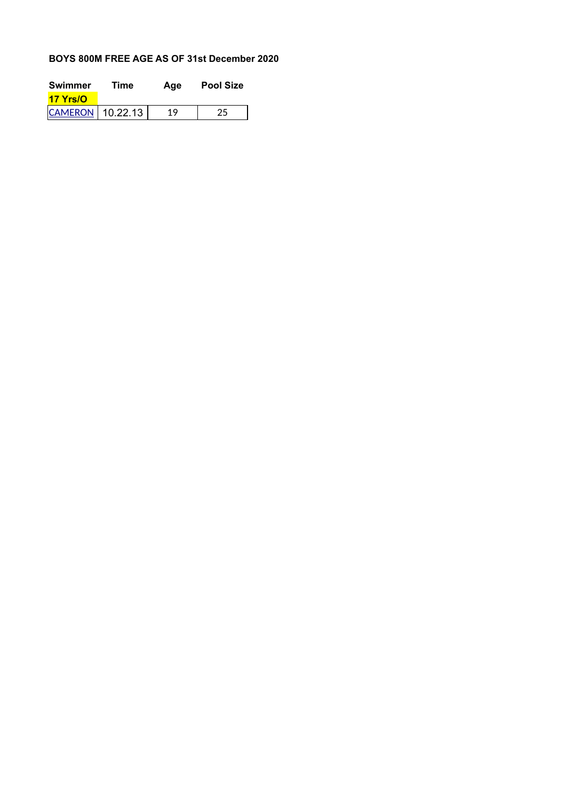### **BOYS 800M FREE AGE AS OF 31st December 2020**

| Swimmer                | Time | Age | <b>Pool Size</b> |
|------------------------|------|-----|------------------|
| <b>17 Yrs/O</b>        |      |     |                  |
| $ $ CAMERON   10.22.13 |      | 19  |                  |